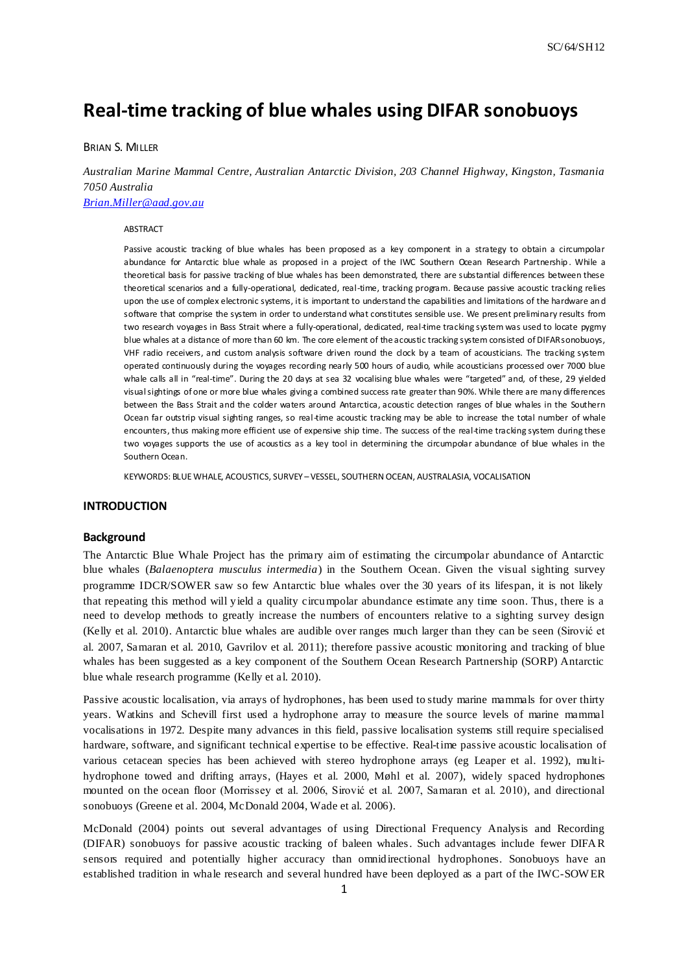# **Real-time tracking of blue whales using DIFAR sonobuoys**

# BRIAN S. MILLER

*Australian Marine Mammal Centre, Australian Antarctic Division, 203 Channel Highway, Kingston, Tasmania 7050 Australia [Brian.Miller@aad.gov.au](mailto:Brian.Miller@aad.gov.au)*

#### ABSTRACT

Passive acoustic tracking of blue whales has been proposed as a key component in a strategy to obtain a circumpolar abundance for Antarctic blue whale as proposed in a project of the IWC Southern Ocean Research Partnership. While a theoretical basis for passive tracking of blue whales has been demonstrated, there are substantial differences between these theoretical scenarios and a fully-operational, dedicated, real-time, tracking program. Because passive acoustic tracking relies upon the use of complex electronic systems, it is important to understand the capabilities and limitations of the hardware an d software that comprise the system in order to understand what constitutes sensible use. We present preliminary results from two research voyages in Bass Strait where a fully-operational, dedicated, real-time tracking system was used to locate pygmy blue whales at a distance of more than 60 km. The core element of the acoustic tracking system consisted of DIFAR sonobuoys, VHF radio receivers, and custom analysis software driven round the clock by a team of acousticians. The tracking system operated continuously during the voyages recording nearly 500 hours of audio, while acousticians processed over 7000 blue whale calls all in "real-time". During the 20 days at sea 32 vocalising blue whales were "targeted" and, of these, 29 yielded visual sightings of one or more blue whales giving a combined success rate greater than 90%. While there are many differences between the Bass Strait and the colder waters around Antarctica, acoustic detection ranges of blue whales in the Southern Ocean far outstrip visual sighting ranges, so real-time acoustic tracking may be able to increase the total number of whale encounters, thus making more efficient use of expensive ship time. The success of the real-time tracking system during these two voyages supports the use of acoustics as a key tool in determining the circumpolar abundance of blue whales in the Southern Ocean.

KEYWORDS: BLUE WHALE, ACOUSTICS, SURVEY –VESSEL, SOUTHERN OCEAN, AUSTRALASIA, VOCALISATION

### **INTRODUCTION**

#### **Background**

The Antarctic Blue Whale Project has the primary aim of estimating the circumpolar abundance of Antarctic blue whales (*Balaenoptera musculus intermedia*) in the Southern Ocean. Given the visual sighting survey programme IDCR/SOWER saw so few Antarctic blue whales over the 30 years of its lifespan, it is not likely that repeating this method will yield a quality circumpolar abundance estimate any time soon. Thus, there is a need to develop methods to greatly increase the numbers of encounters relative to a sighting survey design (Kelly et al. 2010). Antarctic blue whales are audible over ranges much larger than they can be seen (Sirović et al. 2007, Samaran et al. 2010, Gavrilov et al. 2011); therefore passive acoustic monitoring and tracking of blue whales has been suggested as a key component of the Southern Ocean Research Partnership (SORP) Antarctic blue whale research programme (Kelly et al. 2010).

Passive acoustic localisation, via arrays of hydrophones, has been used to study marine mammals for over thirty years. Watkins and Schevill first used a hydrophone array to measure the source levels of marine mammal vocalisations in 1972. Despite many advances in this field, passive localisation systems still require specialised hardware, software, and significant technical expertise to be effective. Real-time passive acoustic localisation of various cetacean species has been achieved with stereo hydrophone arrays (eg Leaper et al. 1992), multihydrophone towed and drifting arrays, (Hayes et al. 2000, Møhl et al. 2007), widely spaced hydrophones mounted on the ocean floor (Morrissey et al. 2006, Sirović et al. 2007, Samaran et al. 2010), and directional sonobuoys (Greene et al. 2004, McDonald 2004, Wade et al. 2006).

McDonald (2004) points out several advantages of using Directional Frequency Analysis and Recording (DIFAR) sonobuoys for passive acoustic tracking of baleen whales. Such advantages include fewer DIFAR sensors required and potentially higher accuracy than omnidirectional hydrophones. Sonobuoys have an established tradition in whale research and several hundred have been deployed as a part of the IWC-SOW ER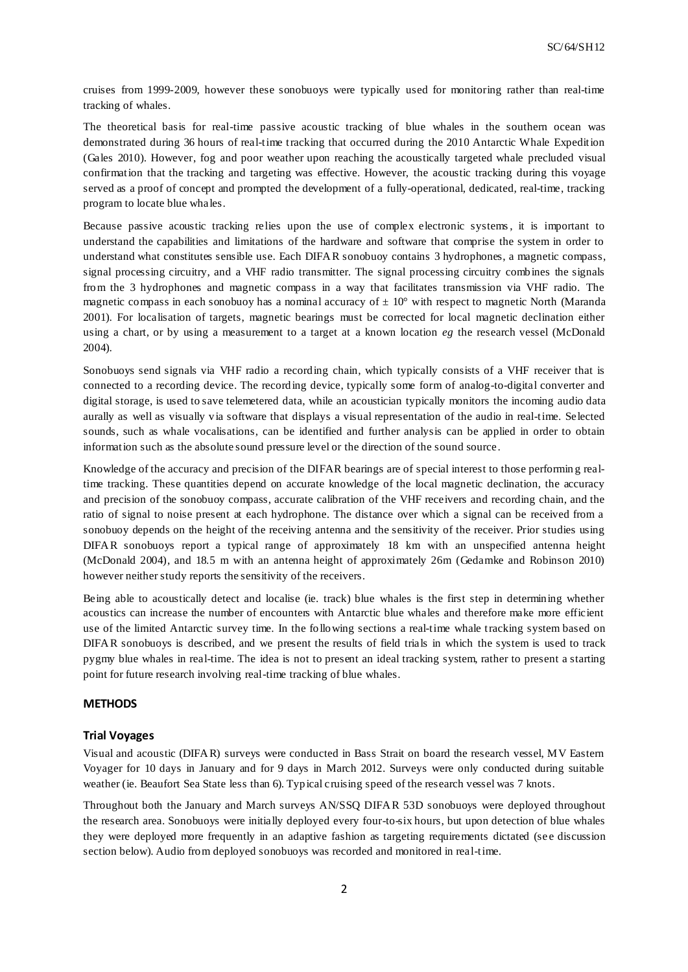cruises from 1999-2009, however these sonobuoys were typically used for monitoring rather than real-time tracking of whales.

The theoretical basis for real-time passive acoustic tracking of blue whales in the southern ocean was demonstrated during 36 hours of real-time tracking that occurred during the 2010 Antarctic Whale Expedition (Gales 2010). However, fog and poor weather upon reaching the acoustically targeted whale precluded visual confirmation that the tracking and targeting was effective. However, the acoustic tracking during this voyage served as a proof of concept and prompted the development of a fully-operational, dedicated, real-time, tracking program to locate blue whales.

Because passive acoustic tracking relies upon the use of complex electronic systems, it is important to understand the capabilities and limitations of the hardware and software that comprise the system in order to understand what constitutes sensible use. Each DIFAR sonobuoy contains 3 hydrophones, a magnetic compass, signal processing circuitry, and a VHF radio transmitter. The signal processing circuitry combines the signals from the 3 hydrophones and magnetic compass in a way that facilitates transmission via VHF radio. The magnetic compass in each sonobuoy has a nominal accuracy of  $\pm 10^{\circ}$  with respect to magnetic North (Maranda 2001). For localisation of targets, magnetic bearings must be corrected for local magnetic declination either using a chart, or by using a measurement to a target at a known location *eg* the research vessel (McDonald 2004).

Sonobuoys send signals via VHF radio a recording chain, which typically consists of a VHF receiver that is connected to a recording device. The recording device, typically some form of analog-to-digital converter and digital storage, is used to save telemetered data, while an acoustician typically monitors the incoming audio data aurally as well as visually via software that displays a visual representation of the audio in real-time. Selected sounds, such as whale vocalisations, can be identified and further analysis can be applied in order to obtain information such as the absolute sound pressure level or the direction of the sound source .

Knowledge of the accuracy and precision of the DIFAR bearings are of special interest to those performin g realtime tracking. These quantities depend on accurate knowledge of the local magnetic declination, the accuracy and precision of the sonobuoy compass, accurate calibration of the VHF receivers and recording chain, and the ratio of signal to noise present at each hydrophone. The distance over which a signal can be received from a sonobuoy depends on the height of the receiving antenna and the sensitivity of the receiver. Prior studies using DIFAR sonobuoys report a typical range of approximately 18 km with an unspecified antenna height (McDonald 2004), and 18.5 m with an antenna height of approximately 26m (Gedamke and Robinson 2010) however neither study reports the sensitivity of the receivers.

Being able to acoustically detect and localise (ie. track) blue whales is the first step in determining whether acoustics can increase the number of encounters with Antarctic blue whales and therefore make more efficient use of the limited Antarctic survey time. In the following sections a real-time whale tracking system based on DIFAR sonobuoys is described, and we present the results of field trials in which the system is used to track pygmy blue whales in real-time. The idea is not to present an ideal tracking system, rather to present a starting point for future research involving real-time tracking of blue whales.

# **METHODS**

# **Trial Voyages**

Visual and acoustic (DIFAR) surveys were conducted in Bass Strait on board the research vessel, MV Eastern Voyager for 10 days in January and for 9 days in March 2012. Surveys were only conducted during suitable weather (ie. Beaufort Sea State less than 6). Typical cruising speed of the research vessel was 7 knots.

Throughout both the January and March surveys AN/SSQ DIFAR 53D sonobuoys were deployed throughout the research area. Sonobuoys were initially deployed every four-to-six hours, but upon detection of blue whales they were deployed more frequently in an adaptive fashion as targeting requirements dictated (se e discussion section below). Audio from deployed sonobuoys was recorded and monitored in real-time.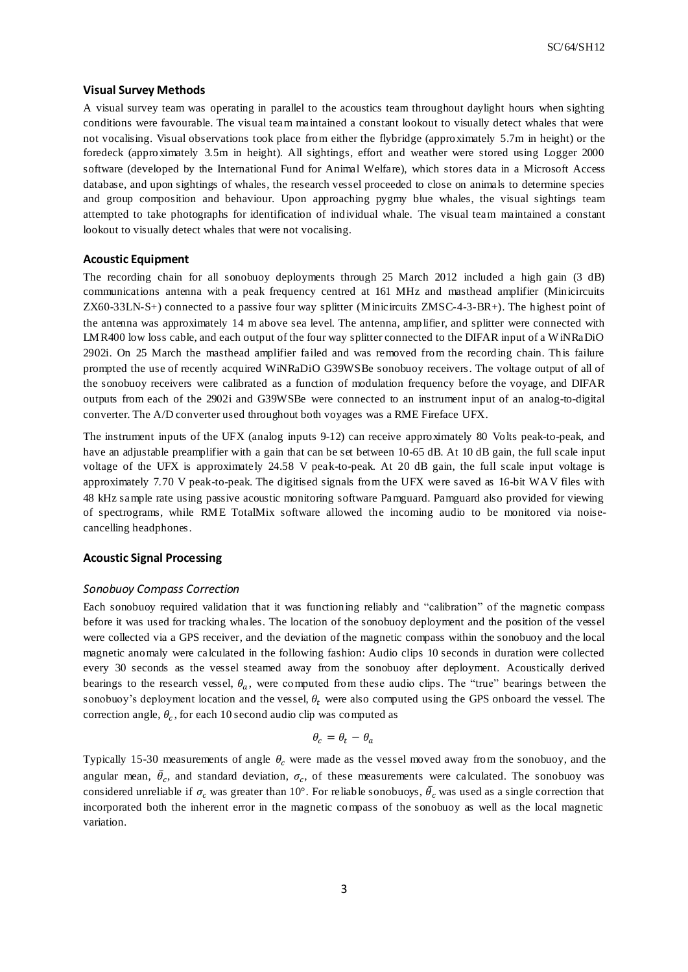#### **Visual Survey Methods**

A visual survey team was operating in parallel to the acoustics team throughout daylight hours when sighting conditions were favourable. The visual team maintained a constant lookout to visually detect whales that were not vocalising. Visual observations took place from either the flybridge (approximately 5.7m in height) or the foredeck (approximately 3.5m in height). All sightings, effort and weather were stored using Logger 2000 software (developed by the International Fund for Animal Welfare), which stores data in a Microsoft Access database, and upon sightings of whales, the research vessel proceeded to close on animals to determine species and group composition and behaviour. Upon approaching pygmy blue whales, the visual sightings team attempted to take photographs for identification of individual whale. The visual team maintained a constant lookout to visually detect whales that were not vocalising.

# **Acoustic Equipment**

The recording chain for all sonobuoy deployments through 25 March 2012 included a high gain (3 dB) communications antenna with a peak frequency centred at 161 MHz and masthead amplifier (Minicircuits ZX60-33LN-S+) connected to a passive four way splitter (Minicircuits ZMSC-4-3-BR+). The highest point of the antenna was approximately 14 m above sea level. The antenna, amplifier, and splitter were connected with LMR400 low loss cable, and each output of the four way splitter connected to the DIFAR input of a W iNRaDiO 2902i. On 25 March the masthead amplifier failed and was removed from the recording chain. This failure prompted the use of recently acquired WiNRaDiO G39WSBe sonobuoy receivers. The voltage output of all of the sonobuoy receivers were calibrated as a function of modulation frequency before the voyage, and DIFAR outputs from each of the 2902i and G39WSBe were connected to an instrument input of an analog-to-digital converter. The A/D converter used throughout both voyages was a RME Fireface UFX.

The instrument inputs of the UFX (analog inputs 9-12) can receive approximately 80 Volts peak-to-peak, and have an adjustable preamplifier with a gain that can be set between 10-65 dB. At 10 dB gain, the full scale input voltage of the UFX is approximately 24.58 V peak-to-peak. At 20 dB gain, the full scale input voltage is approximately 7.70 V peak-to-peak. The digitised signals from the UFX were saved as 16-bit WAV files with 48 kHz sample rate using passive acoustic monitoring software Pamguard. Pamguard also provided for viewing of spectrograms, while RME TotalMix software allowed the incoming audio to be monitored via noisecancelling headphones.

# **Acoustic Signal Processing**

#### *Sonobuoy Compass Correction*

Each sonobuoy required validation that it was functioning reliably and "calibration" of the magnetic compass before it was used for tracking whales. The location of the sonobuoy deployment and the position of the vessel were collected via a GPS receiver, and the deviation of the magnetic compass within the sonobuoy and the local magnetic anomaly were calculated in the following fashion: Audio clips 10 seconds in duration were collected every 30 seconds as the vessel steamed away from the sonobuoy after deployment. Acoustically derived bearings to the research vessel,  $\theta_a$ , were computed from these audio clips. The "true" bearings between the sonobuoy's deployment location and the vessel,  $\theta_t$  were also computed using the GPS onboard the vessel. The correction angle,  $\theta_c$ , for each 10 second audio clip was computed as

$$
\theta_c = \theta_t - \theta_a
$$

Typically 15-30 measurements of angle  $\theta_c$  were made as the vessel moved away from the sonobuoy, and the angular mean,  $\bar{\theta}_c$ , and standard deviation,  $\sigma_c$ , of these measurements were calculated. The sonobuoy was considered unreliable if  $\sigma_c$  was greater than 10°. For reliable sonobuoys,  $\bar{\theta}_c$  was used as a single correction that incorporated both the inherent error in the magnetic compass of the sonobuoy as well as the local magnetic variation.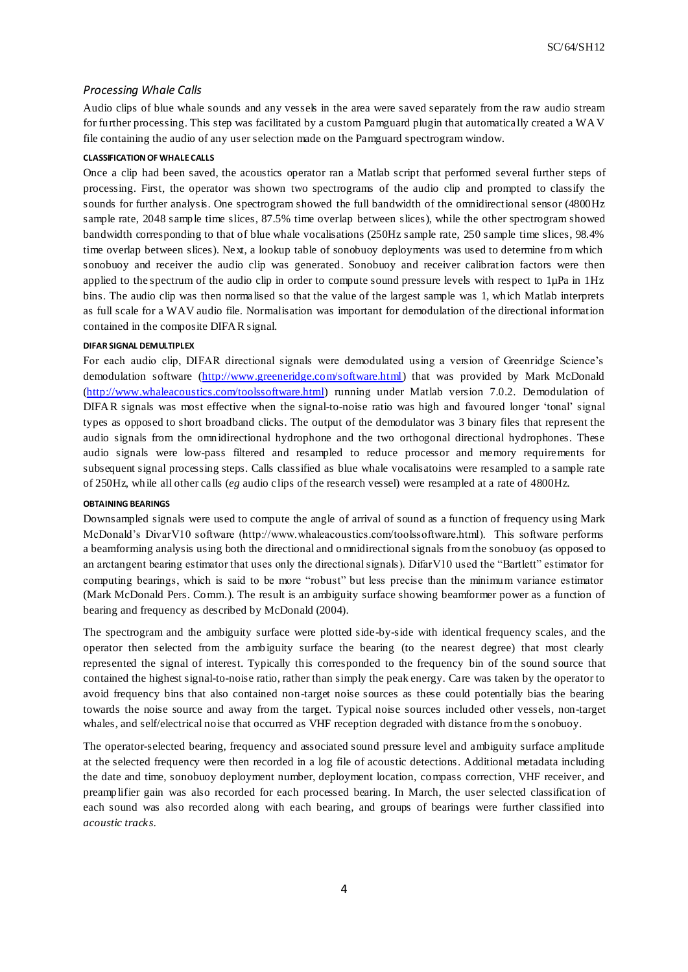#### *Processing Whale Calls*

Audio clips of blue whale sounds and any vessels in the area were saved separately from the raw audio stream for further processing. This step was facilitated by a custom Pamguard plugin that automatically created a WAV file containing the audio of any user selection made on the Pamguard spectrogram window.

### **CLASSIFICATION OF WHALE CALLS**

Once a clip had been saved, the acoustics operator ran a Matlab script that performed several further steps of processing. First, the operator was shown two spectrograms of the audio clip and prompted to classify the sounds for further analysis. One spectrogram showed the full bandwidth of the omnidirectional sensor (4800Hz sample rate, 2048 sample time slices, 87.5% time overlap between slices), while the other spectrogram showed bandwidth corresponding to that of blue whale vocalisations (250Hz sample rate, 250 sample time slices, 98.4% time overlap between slices). Next, a lookup table of sonobuoy deployments was used to determine from which sonobuoy and receiver the audio clip was generated. Sonobuoy and receiver calibration factors were then applied to the spectrum of the audio clip in order to compute sound pressure levels with respect to 1µPa in 1Hz bins. The audio clip was then normalised so that the value of the largest sample was 1, which Matlab interprets as full scale for a WAV audio file. Normalisation was important for demodulation of the directional information contained in the composite DIFAR signal.

#### **DIFAR SIGNAL DEMULTIPLEX**

For each audio clip, DIFAR directional signals were demodulated using a version of Greenridge Science's demodulation software [\(http://www.greeneridge.com/software.html\)](http://www.greeneridge.com/software.html) that was provided by Mark McDonald [\(http://www.whaleacoustics.com/toolssoftware.html\)](http://www.whaleacoustics.com/toolssoftware.html) running under Matlab version 7.0.2. Demodulation of DIFAR signals was most effective when the signal-to-noise ratio was high and favoured longer 'tonal' signal types as opposed to short broadband clicks. The output of the demodulator was 3 binary files that represent the audio signals from the omnidirectional hydrophone and the two orthogonal directional hydrophones. These audio signals were low-pass filtered and resampled to reduce processor and memory requirements for subsequent signal processing steps. Calls classified as blue whale vocalisatoins were resampled to a sample rate of 250Hz, while all other calls (*eg* audio clips of the research vessel) were resampled at a rate of 4800Hz.

#### **OBTAINING BEARINGS**

Downsampled signals were used to compute the angle of arrival of sound as a function of frequency using Mark McDonald's DivarV10 software (http://www.whaleacoustics.com/toolssoftware.html). This software performs a beamforming analysis using both the directional and omnidirectional signals from the sonobuoy (as opposed to an arctangent bearing estimator that uses only the directional signals). DifarV10 used the "Bartlett" estimator for computing bearings, which is said to be more "robust" but less precise than the minimum variance estimator (Mark McDonald Pers. Comm.). The result is an ambiguity surface showing beamformer power as a function of bearing and frequency as described by McDonald (2004).

The spectrogram and the ambiguity surface were plotted side-by-side with identical frequency scales, and the operator then selected from the ambiguity surface the bearing (to the nearest degree) that most clearly represented the signal of interest. Typically this corresponded to the frequency bin of the sound source that contained the highest signal-to-noise ratio, rather than simply the peak energy. Care was taken by the operator to avoid frequency bins that also contained non-target noise sources as these could potentially bias the bearing towards the noise source and away from the target. Typical noise sources included other vessels, non-target whales, and self/electrical noise that occurred as VHF reception degraded with distance from the s onobuoy.

The operator-selected bearing, frequency and associated sound pressure level and ambiguity surface amplitude at the selected frequency were then recorded in a log file of acoustic detections. Additional metadata including the date and time, sonobuoy deployment number, deployment location, compass correction, VHF receiver, and preamplifier gain was also recorded for each processed bearing. In March, the user selected classification of each sound was also recorded along with each bearing, and groups of bearings were further classified into *acoustic tracks*.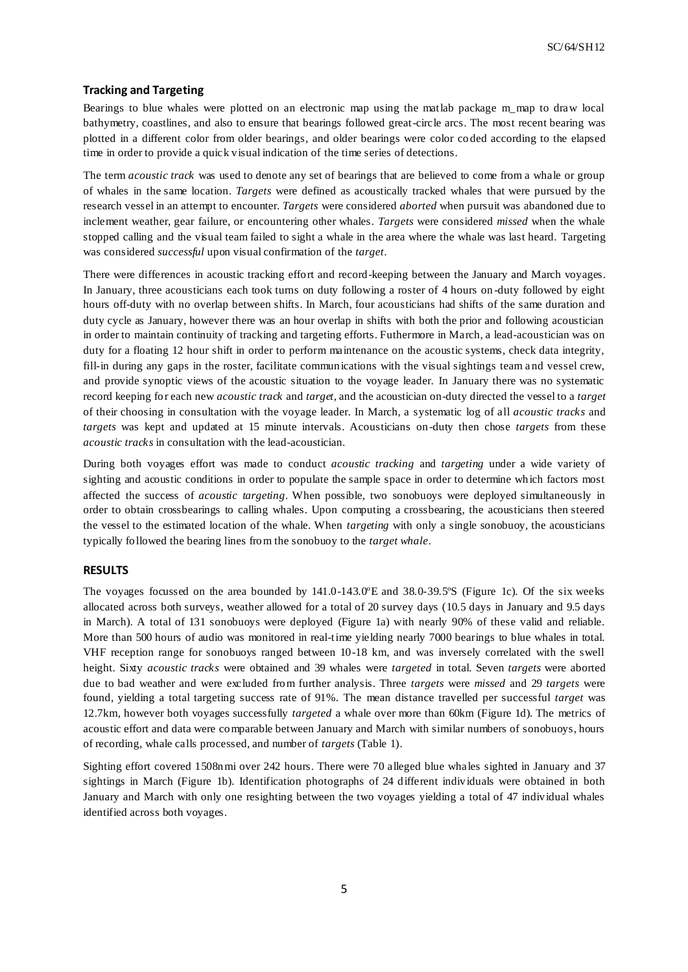# **Tracking and Targeting**

Bearings to blue whales were plotted on an electronic map using the matlab package m\_map to draw local bathymetry, coastlines, and also to ensure that bearings followed great-circle arcs. The most recent bearing was plotted in a different color from older bearings, and older bearings were color co ded according to the elapsed time in order to provide a quick visual indication of the time series of detections.

The term *acoustic track* was used to denote any set of bearings that are believed to come from a whale or group of whales in the same location. *Targets* were defined as acoustically tracked whales that were pursued by the research vessel in an attempt to encounter. *Targets* were considered *aborted* when pursuit was abandoned due to inclement weather, gear failure, or encountering other whales. *Targets* were considered *missed* when the whale stopped calling and the visual team failed to sight a whale in the area where the whale was last heard. Targeting was considered *successful* upon visual confirmation of the *target*.

There were differences in acoustic tracking effort and record-keeping between the January and March voyages. In January, three acousticians each took turns on duty following a roster of 4 hours on -duty followed by eight hours off-duty with no overlap between shifts. In March, four acousticians had shifts of the same duration and duty cycle as January, however there was an hour overlap in shifts with both the prior and following acoustician in order to maintain continuity of tracking and targeting efforts. Futhermore in March, a lead-acoustician was on duty for a floating 12 hour shift in order to perform maintenance on the acoustic systems, check data integrity, fill-in during any gaps in the roster, facilitate communications with the visual sightings team and vessel crew, and provide synoptic views of the acoustic situation to the voyage leader. In January there was no systematic record keeping for each new *acoustic track* and *target*, and the acoustician on-duty directed the vessel to a *target*  of their choosing in consultation with the voyage leader. In March, a systematic log of all *acoustic tracks* and *targets* was kept and updated at 15 minute intervals. Acousticians on-duty then chose *targets* from these *acoustic tracks* in consultation with the lead-acoustician.

During both voyages effort was made to conduct *acoustic tracking* and *targeting* under a wide variety of sighting and acoustic conditions in order to populate the sample space in order to determine which factors most affected the success of *acoustic targeting*. When possible, two sonobuoys were deployed simultaneously in order to obtain crossbearings to calling whales. Upon computing a crossbearing, the acousticians then steered the vessel to the estimated location of the whale. When *targeting* with only a single sonobuoy, the acousticians typically followed the bearing lines from the sonobuoy to the *target whale*.

### **RESULTS**

The voyages focussed on the area bounded by 141.0-143.0ºE and 38.0-39.5ºS [\(Figure 1c](#page-5-0)). Of the six weeks allocated across both surveys, weather allowed for a total of 20 survey days (10.5 days in January and 9.5 days in March). A total of 131 sonobuoys were deployed [\(Figure 1a](#page-5-0)) with nearly 90% of these valid and reliable. More than 500 hours of audio was monitored in real-time yielding nearly 7000 bearings to blue whales in total. VHF reception range for sonobuoys ranged between 10-18 km, and was inversely correlated with the swell height. Sixty *acoustic tracks* were obtained and 39 whales were *targeted* in total. Seven *targets* were aborted due to bad weather and were excluded from further analysis. Three *targets* were *missed* and 29 *targets* were found, yielding a total targeting success rate of 91%. The mean distance travelled per successful *target* was 12.7km, however both voyages successfully *targeted* a whale over more than 60km [\(Figure 1d](#page-5-0)). The metrics of acoustic effort and data were comparable between January and March with similar numbers of sonobuoys, hours of recording, whale calls processed, and number of *targets* [\(Table 1\)](#page-5-1).

Sighting effort covered 1508nmi over 242 hours. There were 70 alleged blue whales sighted in January and 37 sightings in March [\(Figure 1b](#page-5-0)). Identification photographs of 24 different individuals were obtained in both January and March with only one resighting between the two voyages yielding a total of 47 individual whales identified across both voyages.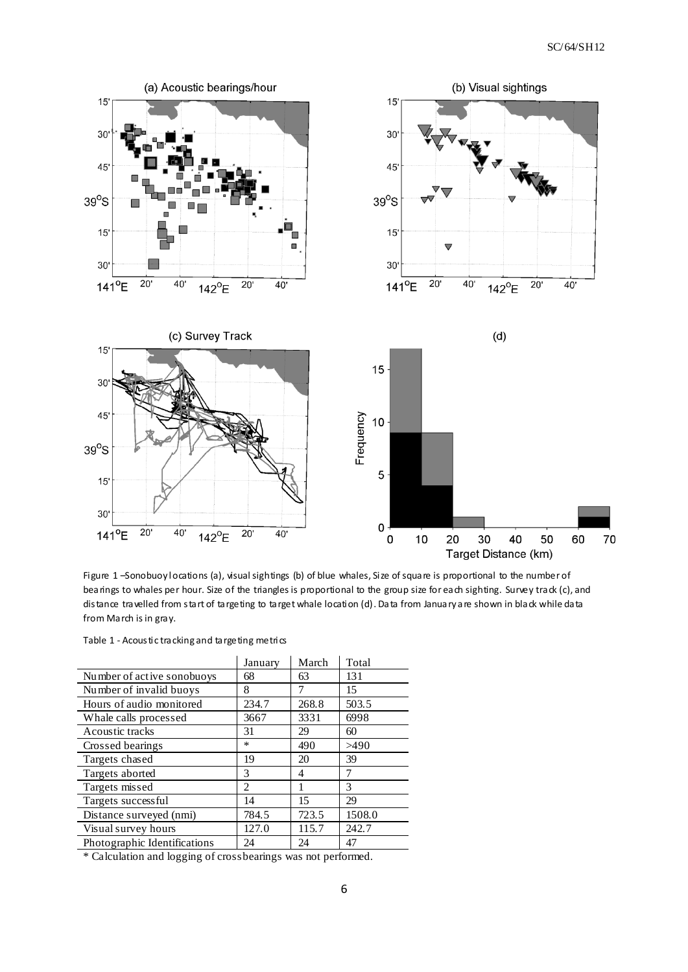

<span id="page-5-0"></span>Figure 1 –Sonobuoy locations (a), visual sightings (b) of blue whales, Size of square is proportional to the number of bearings to whales per hour. Size of the triangles is proportional to the group size for each sighting. Survey track (c), and distance travelled from start of targeting to target whale location (d). Data from January are shown in black while data from March is in gray.

<span id="page-5-1"></span>

|                                                                       | January | March | Total  |
|-----------------------------------------------------------------------|---------|-------|--------|
| Number of active sonobuoys                                            | 68      | 63    | 131    |
| Number of invalid buoys                                               | 8       | 7     | 15     |
| Hours of audio monitored                                              | 234.7   | 268.8 | 503.5  |
| Whale calls processed                                                 | 3667    | 3331  | 6998   |
| Acoustic tracks                                                       | 31      | 29    | 60     |
| Crossed bearings                                                      | *       | 490   | >490   |
| Targets chased                                                        | 19      | 20    | 39     |
| Targets aborted                                                       | 3       | 4     | 7      |
| Targets missed                                                        | 2       |       | 3      |
| Targets successful                                                    | 14      | 15    | 29     |
| Distance surveyed (nmi)                                               | 784.5   | 723.5 | 1508.0 |
| Visual survey hours                                                   | 127.0   | 115.7 | 242.7  |
| Photographic Identifications                                          | 24      | 24    | 47     |
| $\mathbf{1}$<br>$\star$ $\sim$ 11 $\star$ $\sim$ $\sim$ $\sim$ $\sim$ |         |       |        |

\* Calculation and logging of crossbearings was not performed.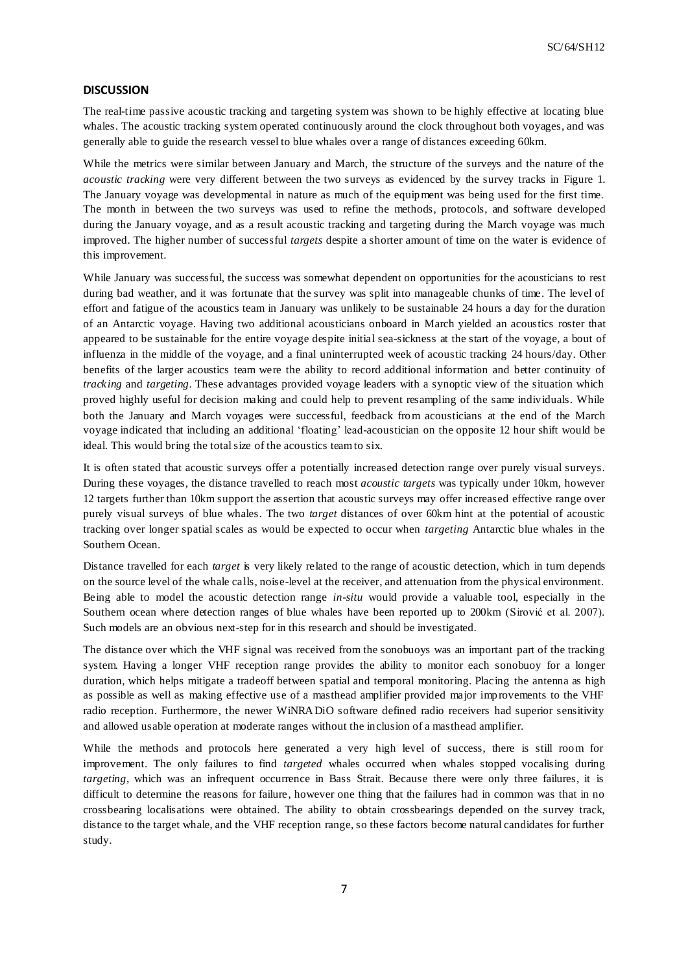# **DISCUSSION**

The real-time passive acoustic tracking and targeting system was shown to be highly effective at locating blue whales. The acoustic tracking system operated continuously around the clock throughout both voyages, and was generally able to guide the research vessel to blue whales over a range of distances exceeding 60km.

While the metrics were similar between January and March, the structure of the surveys and the nature of the *acoustic tracking* were very different between the two surveys as evidenced by the survey tracks in [Figure 1.](#page-5-0) The January voyage was developmental in nature as much of the equipment was being used for the first time. The month in between the two surveys was used to refine the methods, protocols, and software developed during the January voyage, and as a result acoustic tracking and targeting during the March voyage was much improved. The higher number of successful *targets* despite a shorter amount of time on the water is evidence of this improvement.

While January was successful, the success was somewhat dependent on opportunities for the acousticians to rest during bad weather, and it was fortunate that the survey was split into manageable chunks of time. The level of effort and fatigue of the acoustics team in January was unlikely to be sustainable 24 hours a day for the duration of an Antarctic voyage. Having two additional acousticians onboard in March yielded an acoustics roster that appeared to be sustainable for the entire voyage despite initial sea-sickness at the start of the voyage, a bout of influenza in the middle of the voyage, and a final uninterrupted week of acoustic tracking 24 hours/day. Other benefits of the larger acoustics team were the ability to record additional information and better continuity of *tracking* and *targeting*. These advantages provided voyage leaders with a synoptic view of the situation which proved highly useful for decision making and could help to prevent resampling of the same individuals. While both the January and March voyages were successful, feedback from acousticians at the end of the March voyage indicated that including an additional 'floating' lead-acoustician on the opposite 12 hour shift would be ideal. This would bring the total size of the acoustics team to six.

It is often stated that acoustic surveys offer a potentially increased detection range over purely visual surveys. During these voyages, the distance travelled to reach most *acoustic targets* was typically under 10km, however 12 targets further than 10km support the assertion that acoustic surveys may offer increased effective range over purely visual surveys of blue whales. The two *target* distances of over 60km hint at the potential of acoustic tracking over longer spatial scales as would be expected to occur when *targeting* Antarctic blue whales in the Southern Ocean.

Distance travelled for each *target* is very likely related to the range of acoustic detection, which in turn depends on the source level of the whale calls, noise-level at the receiver, and attenuation from the physical environment. Being able to model the acoustic detection range *in-situ* would provide a valuable tool, especially in the Southern ocean where detection ranges of blue whales have been reported up to 200km (Sirović et al. 2007). Such models are an obvious next-step for in this research and should be investigated.

The distance over which the VHF signal was received from the sonobuoys was an important part of the tracking system. Having a longer VHF reception range provides the ability to monitor each sonobuoy for a longer duration, which helps mitigate a tradeoff between spatial and temporal monitoring. Placing the antenna as high as possible as well as making effective use of a masthead amplifier provided major improvements to the VHF radio reception. Furthermore, the newer WiNRADiO software defined radio receivers had superior sensitivity and allowed usable operation at moderate ranges without the inclusion of a masthead amplifier.

While the methods and protocols here generated a very high level of success, there is still room for improvement. The only failures to find *targeted* whales occurred when whales stopped vocalising during *targeting*, which was an infrequent occurrence in Bass Strait. Because there were only three failures, it is difficult to determine the reasons for failure, however one thing that the failures had in common was that in no crossbearing localisations were obtained. The ability to obtain crossbearings depended on the survey track, distance to the target whale, and the VHF reception range, so these factors become natural candidates for further study.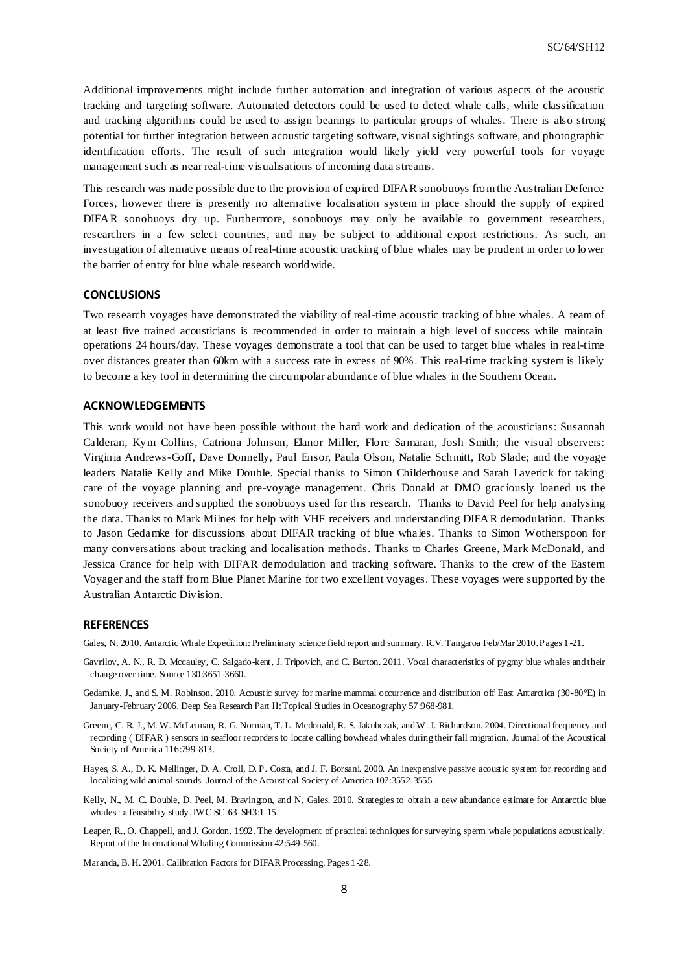Additional improvements might include further automation and integration of various aspects of the acoustic tracking and targeting software. Automated detectors could be used to detect whale calls, while classification and tracking algorithms could be used to assign bearings to particular groups of whales. There is also strong potential for further integration between acoustic targeting software, visual sightings software, and photographic identification efforts. The result of such integration would likely yield very powerful tools for voyage management such as near real-time visualisations of incoming data streams.

This research was made possible due to the provision of expired DIFAR sonobuoys from the Australian Defence Forces, however there is presently no alternative localisation system in place should the supply of expired DIFAR sonobuoys dry up. Furthermore, sonobuoys may only be available to government researchers, researchers in a few select countries, and may be subject to additional export restrictions. As such, an investigation of alternative means of real-time acoustic tracking of blue whales may be prudent in order to lower the barrier of entry for blue whale research worldwide.

#### **CONCLUSIONS**

Two research voyages have demonstrated the viability of real-time acoustic tracking of blue whales. A team of at least five trained acousticians is recommended in order to maintain a high level of success while maintain operations 24 hours/day. These voyages demonstrate a tool that can be used to target blue whales in real-time over distances greater than 60km with a success rate in excess of 90%. This real-time tracking system is likely to become a key tool in determining the circumpolar abundance of blue whales in the Southern Ocean.

# **ACKNOWLEDGEMENTS**

This work would not have been possible without the hard work and dedication of the acousticians: Susannah Calderan, Kym Collins, Catriona Johnson, Elanor Miller, Flore Samaran, Josh Smith; the visual observers: Virginia Andrews-Goff, Dave Donnelly, Paul Ensor, Paula Olson, Natalie Schmitt, Rob Slade; and the voyage leaders Natalie Kelly and Mike Double. Special thanks to Simon Childerhouse and Sarah Laverick for taking care of the voyage planning and pre-voyage management. Chris Donald at DMO graciously loaned us the sonobuoy receivers and supplied the sonobuoys used for this research. Thanks to David Peel for help analysing the data. Thanks to Mark Milnes for help with VHF receivers and understanding DIFAR demodulation. Thanks to Jason Gedamke for discussions about DIFAR tracking of blue whales. Thanks to Simon Wotherspoon for many conversations about tracking and localisation methods. Thanks to Charles Greene, Mark McDonald, and Jessica Crance for help with DIFAR demodulation and tracking software. Thanks to the crew of the Eastern Voyager and the staff from Blue Planet Marine for two excellent voyages. These voyages were supported by the Australian Antarctic Division.

## **REFERENCES**

Gales, N. 2010. Antarctic Whale Expedition: Preliminary science field report and summary. R.V. Tangaroa Feb/Mar 2010. Pages 1 -21.

- Gavrilov, A. N., R. D. Mccauley, C. Salgado-kent, J. Tripovich, and C. Burton. 2011. Vocal characteristics of pygmy blue whales and their change over time. Source 130:3651-3660.
- Gedamke, J., and S. M. Robinson. 2010. Acoustic survey for marine mammal occurrence and distribution off East Antarctica (30-80°E) in January-February 2006. Deep Sea Research Part II: Topical Studies in Oceanography 57:968-981.
- Greene, C. R. J., M. W. McLennan, R. G. Norman, T. L. Mcdonald, R. S. Jakubczak, and W. J. Richardson. 2004. Directional frequency and recording ( DIFAR ) sensors in seafloor recorders to locate calling bowhead whales during their fall migration. Journal of the Acoustical Society of America 116:799-813.

Hayes, S. A., D. K. Mellinger, D. A. Croll, D. P. Costa, and J. F. Borsani. 2000. An inexpensive passive acoustic system for recording and localizing wild animal sounds. Journal of the Acoustical Society of America 107:3552-3555.

Kelly, N., M. C. Double, D. Peel, M. Bravington, and N. Gales. 2010. Strategies to obtain a new abundance estimate for Antarctic blue whales : a feasibility study. IWC SC-63-SH3:1-15.

Leaper, R., O. Chappell, and J. Gordon. 1992. The development of practical techniques for surveying sperm whale populations acoustically. Report of the International Whaling Commission 42:549-560.

Maranda, B. H. 2001. Calibration Factors for DIFAR Processing. Pages 1-28.